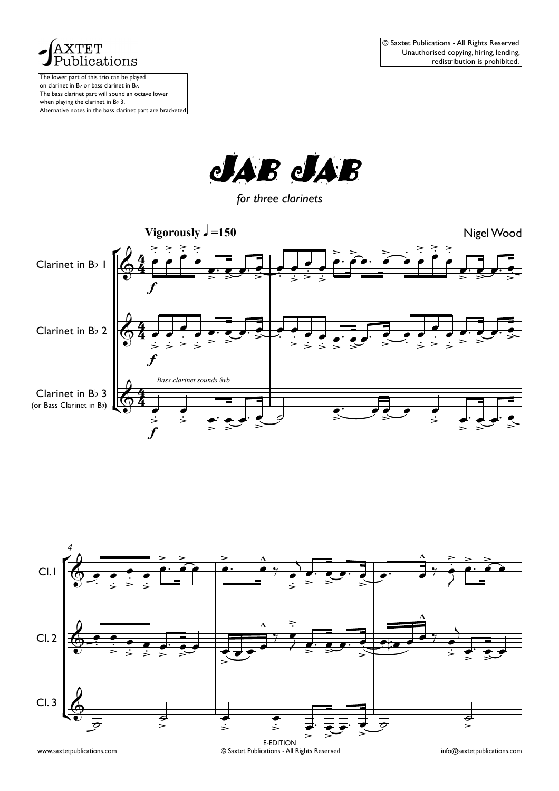



*for three clarinets*





<sup>©</sup> Saxtet Publications - All Rights Reserved www.saxtetpublications.com info@saxtetpublications.com